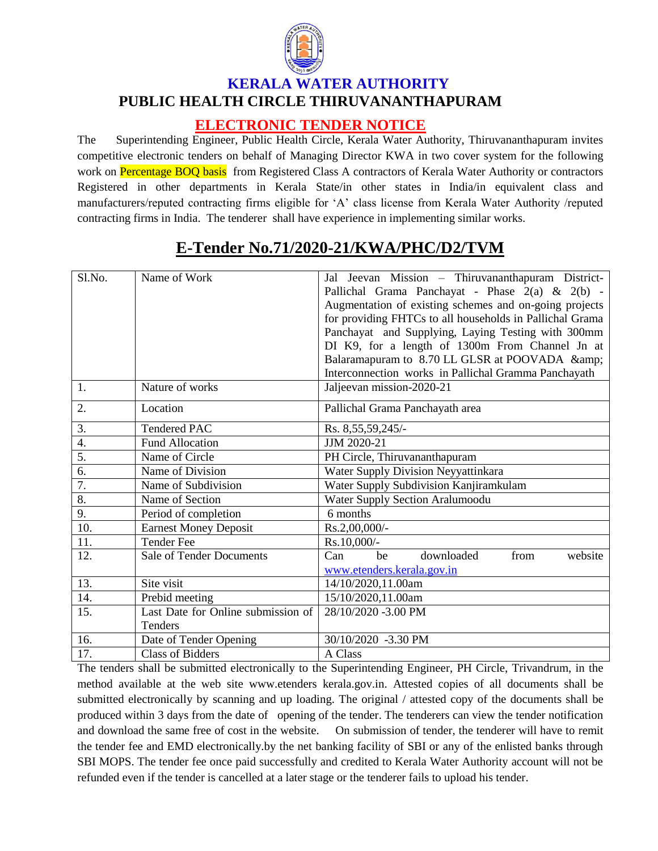

## **KERALA WATER AUTHORITY PUBLIC HEALTH CIRCLE THIRUVANANTHAPURAM**

## **ELECTRONIC TENDER NOTICE**

The Superintending Engineer, Public Health Circle, Kerala Water Authority, Thiruvananthapuram invites competitive electronic tenders on behalf of Managing Director KWA in two cover system for the following work on Percentage BOQ basis from Registered Class A contractors of Kerala Water Authority or contractors Registered in other departments in Kerala State/in other states in India/in equivalent class and manufacturers/reputed contracting firms eligible for 'A' class license from Kerala Water Authority /reputed contracting firms in India. The tenderer shall have experience in implementing similar works.

| $S1$ . No.       | Name of Work                                  | Jal Jeevan Mission - Thiruvananthapuram District-<br>Pallichal Grama Panchayat - Phase $2(a)$ & $2(b)$ -<br>Augmentation of existing schemes and on-going projects<br>for providing FHTCs to all households in Pallichal Grama<br>Panchayat and Supplying, Laying Testing with 300mm<br>DI K9, for a length of 1300m From Channel Jn at<br>Balaramapuram to 8.70 LL GLSR at POOVADA & |
|------------------|-----------------------------------------------|---------------------------------------------------------------------------------------------------------------------------------------------------------------------------------------------------------------------------------------------------------------------------------------------------------------------------------------------------------------------------------------|
| 1.               | Nature of works                               | Interconnection works in Pallichal Gramma Panchayath<br>Jaljeevan mission-2020-21                                                                                                                                                                                                                                                                                                     |
| 2.               | Location                                      | Pallichal Grama Panchayath area                                                                                                                                                                                                                                                                                                                                                       |
| 3.               | <b>Tendered PAC</b>                           | Rs. 8,55,59,245/-                                                                                                                                                                                                                                                                                                                                                                     |
| 4.               | <b>Fund Allocation</b>                        | JJM 2020-21                                                                                                                                                                                                                                                                                                                                                                           |
| $\overline{5}$ . | Name of Circle                                | PH Circle, Thiruvananthapuram                                                                                                                                                                                                                                                                                                                                                         |
| 6.               | Name of Division                              | Water Supply Division Neyyattinkara                                                                                                                                                                                                                                                                                                                                                   |
| $\overline{7}$ . | Name of Subdivision                           | Water Supply Subdivision Kanjiramkulam                                                                                                                                                                                                                                                                                                                                                |
| 8.               | Name of Section                               | Water Supply Section Aralumoodu                                                                                                                                                                                                                                                                                                                                                       |
| 9.               | Period of completion                          | 6 months                                                                                                                                                                                                                                                                                                                                                                              |
| 10.              | <b>Earnest Money Deposit</b>                  | Rs.2,00,000/-                                                                                                                                                                                                                                                                                                                                                                         |
| 11.              | <b>Tender Fee</b>                             | Rs.10,000/-                                                                                                                                                                                                                                                                                                                                                                           |
| 12.              | <b>Sale of Tender Documents</b>               | downloaded<br>website<br>Can<br>from<br>he                                                                                                                                                                                                                                                                                                                                            |
|                  |                                               | www.etenders.kerala.gov.in                                                                                                                                                                                                                                                                                                                                                            |
| 13.              | Site visit                                    | 14/10/2020,11.00am                                                                                                                                                                                                                                                                                                                                                                    |
| 14.              | Prebid meeting                                | 15/10/2020,11.00am                                                                                                                                                                                                                                                                                                                                                                    |
| 15.              | Last Date for Online submission of<br>Tenders | 28/10/2020 -3.00 PM                                                                                                                                                                                                                                                                                                                                                                   |
| 16.              | Date of Tender Opening                        | 30/10/2020 -3.30 PM                                                                                                                                                                                                                                                                                                                                                                   |
| 17.              | <b>Class of Bidders</b>                       | A Class                                                                                                                                                                                                                                                                                                                                                                               |

## **E-Tender No.71/2020-21/KWA/PHC/D2/TVM**

The tenders shall be submitted electronically to the Superintending Engineer, PH Circle, Trivandrum, in the method available at the web site www.etenders kerala.gov.in. Attested copies of all documents shall be submitted electronically by scanning and up loading. The original / attested copy of the documents shall be produced within 3 days from the date of opening of the tender. The tenderers can view the tender notification and download the same free of cost in the website. On submission of tender, the tenderer will have to remit the tender fee and EMD electronically.by the net banking facility of SBI or any of the enlisted banks through SBI MOPS. The tender fee once paid successfully and credited to Kerala Water Authority account will not be refunded even if the tender is cancelled at a later stage or the tenderer fails to upload his tender.